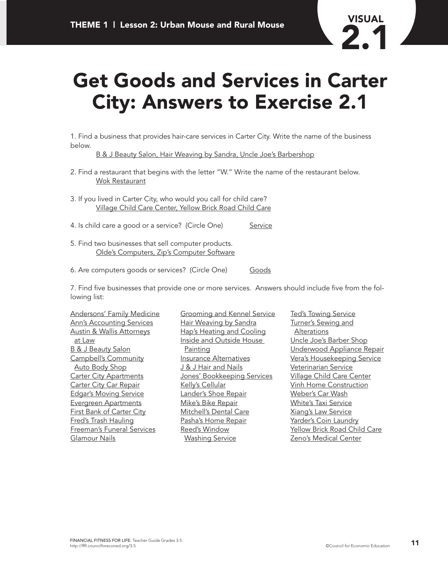

## **Get Goods and Services in Carter City: Answers to Exercise 2.1**

1. Find a business that provides hair-care services in Carter City. Write the name of the business below.

B & J Beauty Salon, Hair Weaving by Sandra, Uncle Joe's Barbershop

- 2. Find a restaurant that begins with the letter "W." Write the name of the restaurant below. Wok Restaurant
- 3. If you lived in Carter City, who would you call for child care? Village Child Care Center, Yellow Brick Road Child Care
- 4. Is child care a good or a service? (Circle One) Service
- 5. Find two businesses that sell computer products. Olde's Computers, Zip's Computer Software
- 6. Are computers goods or services? (Circle One) Goods

7. Find five businesses that provide one or more services. Answers should include five from the following list:

Andersons' Family Medicine Ann's Accounting Services Austin & Wallis Attorneys at Law B & J Beauty Salon Campbell's Community Auto Body Shop Carter City Apartments Carter City Car Repair Edgar's Moving Service Evergreen Apartments First Bank of Carter City Fred's Trash Hauling Freeman's Funeral Services Glamour Nails

Grooming and Kennel Service Hair Weaving by Sandra Hap's Heating and Cooling Inside and Outside House Painting Insurance Alternatives J & J Hair and Nails Jones' Bookkeeping Services Kelly's Cellular Lander's Shoe Repair Mike's Bike Repair Mitchell's Dental Care Pasha's Home Repair Reed's Window Washing Service

Ted's Towing Service Turner's Sewing and Alterations Uncle Joe's Barber Shop Underwood Appliance Repair Vera's Housekeeping Service Veterinarian Service Village Child Care Center Vinh Home Construction Weber's Car Wash White's Taxi Service Xiang's Law Service Yarder's Coin Laundry Yellow Brick Road Child Care Zeno's Medical Center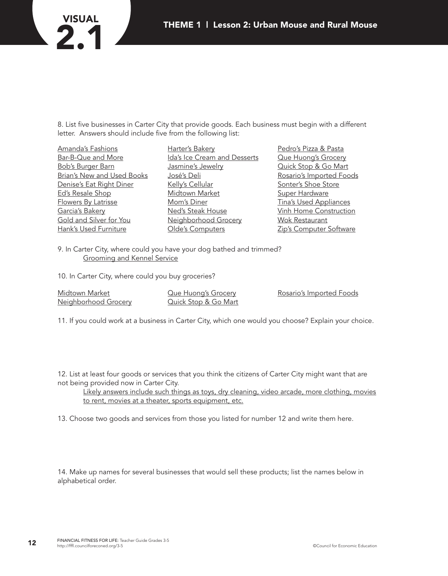# **VISUAL**

8. List five businesses in Carter City that provide goods. Each business must begin with a different letter. Answers should include five from the following list:

Amanda's Fashions Bar-B-Que and More Bob's Burger Barn Brian's New and Used Books Denise's Eat Right Diner Ed's Resale Shop Flowers By Latrisse Garcia's Bakery Gold and Silver for You Hank's Used Furniture

Harter's Bakery Ida's Ice Cream and Desserts Jasmine's Jewelry José's Deli Kelly's Cellular Midtown Market Mom's Diner Ned's Steak House Neighborhood Grocery Olde's Computers

Pedro's Pizza & Pasta Que Huong's Grocery Quick Stop & Go Mart Rosario's Imported Foods Sonter's Shoe Store **Super Hardware** Tina's Used Appliances Vinh Home Construction Wok Restaurant Zip's Computer Software

9. In Carter City, where could you have your dog bathed and trimmed? Grooming and Kennel Service

10. In Carter City, where could you buy groceries?

Midtown Market Neighborhood Grocery Que Huong's Grocery Quick Stop & Go Mart Rosario's Imported Foods

11. If you could work at a business in Carter City, which one would you choose? Explain your choice.

12. List at least four goods or services that you think the citizens of Carter City might want that are not being provided now in Carter City.

Likely answers include such things as toys, dry cleaning, video arcade, more clothing, movies to rent, movies at a theater, sports equipment, etc.

13. Choose two goods and services from those you listed for number 12 and write them here.

14. Make up names for several businesses that would sell these products; list the names below in alphabetical order.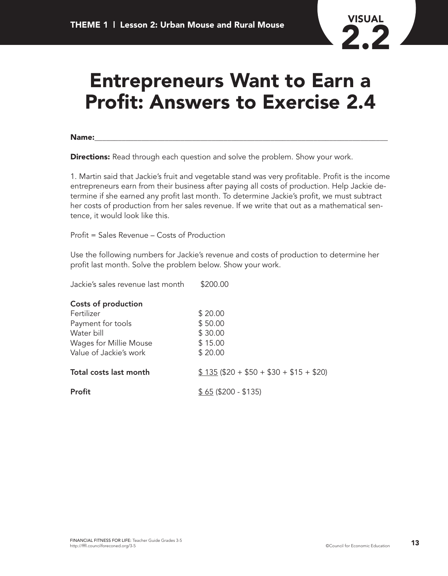## **Entrepreneurs Want to Earn a Profit: Answers to Exercise 2.4**

**Name:**\_\_\_\_\_\_\_\_\_\_\_\_\_\_\_\_\_\_\_\_\_\_\_\_\_\_\_\_\_\_\_\_\_\_\_\_\_\_\_\_\_\_\_\_\_\_\_\_\_\_\_\_\_\_\_\_\_\_\_\_\_\_\_\_\_\_\_\_\_\_\_\_\_\_\_

**Directions:** Read through each question and solve the problem. Show your work.

1. Martin said that Jackie's fruit and vegetable stand was very profitable. Profit is the income entrepreneurs earn from their business after paying all costs of production. Help Jackie determine if she earned any profit last month. To determine Jackie's profit, we must subtract her costs of production from her sales revenue. If we write that out as a mathematical sentence, it would look like this.

Profit = Sales Revenue – Costs of Production

Use the following numbers for Jackie's revenue and costs of production to determine her profit last month. Solve the problem below. Show your work.

| Jackie's sales revenue last month | \$200.00                             |
|-----------------------------------|--------------------------------------|
| Costs of production               |                                      |
| Fertilizer                        | \$20.00                              |
| Payment for tools                 | \$50.00                              |
| Water bill                        | \$30.00                              |
| Wages for Millie Mouse            | \$15.00                              |
| Value of Jackie's work            | \$20.00                              |
| Total costs last month            | $$135 ($20 + $50 + $30 + $15 + $20)$ |
| Profit                            | $$65 ($200 - $135)$                  |